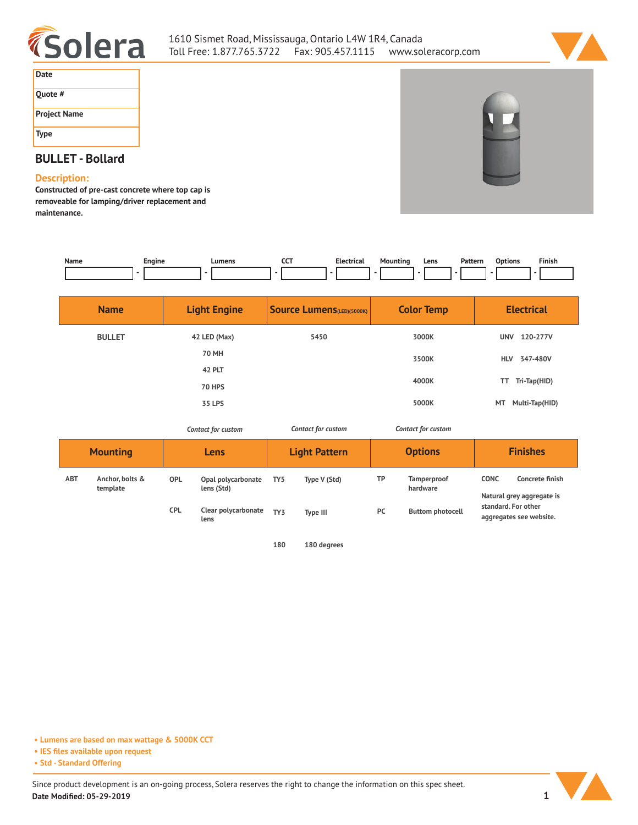



| Date                |  |
|---------------------|--|
| Quote #             |  |
| <b>Project Name</b> |  |
| <b>Type</b>         |  |

# **BULLET - Bollard**

## **Description:**

**Constructed of pre-cast concrete where top cap is removeable for lamping/driver replacement and maintenance.**

| Name | cngine | Lumens | ---<br>์<br>___ | – Elect<br>trical | . | Lens<br>$\sim$ $\sim$ | Pattern<br>. | Options<br>. | $- \cdot$<br>. .<br>Finish |
|------|--------|--------|-----------------|-------------------|---|-----------------------|--------------|--------------|----------------------------|
|      |        |        |                 |                   |   |                       |              |              |                            |

| <b>Name</b>   | <b>Light Engine</b> | <b>Source Lumens</b> (LED)(5000K) | <b>Color Temp</b> | <b>Electrical</b>      |
|---------------|---------------------|-----------------------------------|-------------------|------------------------|
| <b>BULLET</b> | 42 LED (Max)        | 5450                              | 3000K             | 120-277V<br><b>UNV</b> |
|               | 70 MH               |                                   | 3500K             | HLV 347-480V           |
|               | <b>42 PLT</b>       |                                   |                   |                        |
|               | <b>70 HPS</b>       |                                   | 4000K             | Tri-Tap(HID)<br>TT     |
|               | <b>35 LPS</b>       |                                   | 5000K             | MT Multi-Tap(HID)      |

*Contact for custom Contact for custom*

| <b>Mounting</b> |                             | Lens       |                                  | <b>Light Pattern</b> |              | <b>Options</b> |                                | <b>Finishes</b>                                             |                                                |
|-----------------|-----------------------------|------------|----------------------------------|----------------------|--------------|----------------|--------------------------------|-------------------------------------------------------------|------------------------------------------------|
| <b>ABT</b>      | Anchor, bolts &<br>template | <b>OPL</b> | Opal polycarbonate<br>lens (Std) | TY <sub>5</sub>      | Type V (Std) | ТP             | <b>Tamperproof</b><br>hardware | <b>CONC</b><br>Concrete finish<br>Natural grey aggregate is |                                                |
|                 |                             | <b>CPL</b> | Clear polycarbonate<br>lens      | TY <sub>3</sub>      | Type III     | PC             | <b>Buttom photocell</b>        |                                                             | standard. For other<br>aggregates see website. |

*Contact for custom*

**180 180 degrees**

**• Lumens are based on max wattage & 5000K CCT**

**• IES files available upon request**

**• Std - Standard Offering**